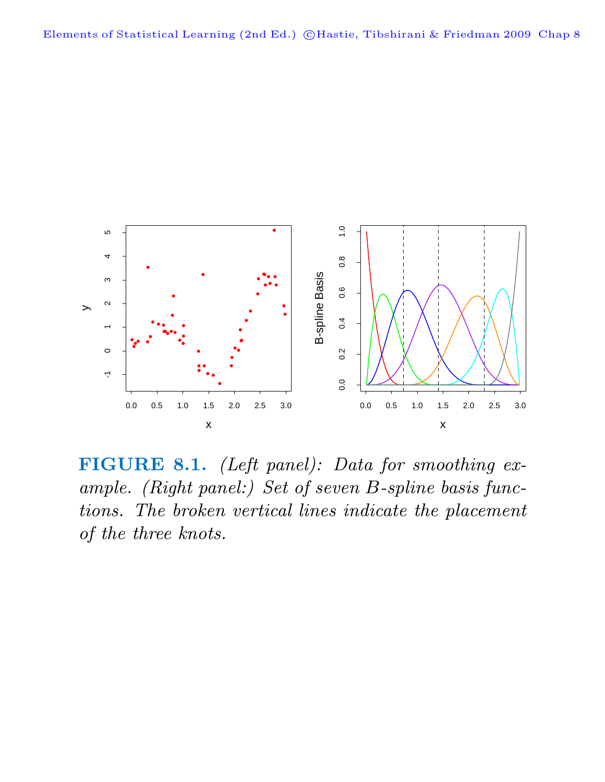

**FIGURE 8.1.** (Left panel): Data for smoothing example. (Right panel:) Set of seven B-spline basis functions. The broken vertical lines indicate the placement of the three knots.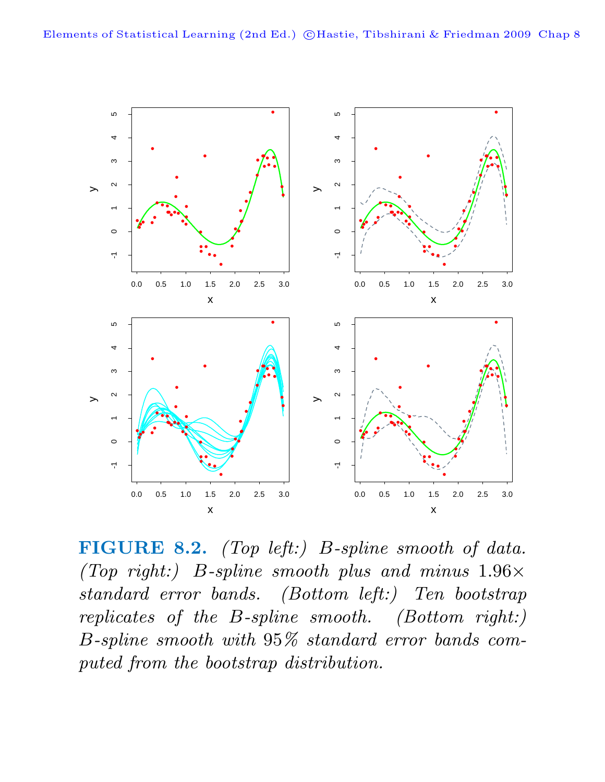

**FIGURE 8.2.** (Top left:) B-spline smooth of data. (Top right:) B-spline smooth plus and minus  $1.96 \times$ standard error bands. (Bottom left:) Ten bootstrap replicates of the B-spline smooth. (Bottom right:) B-spline smooth with 95% standard error bands computed from the bootstrap distribution.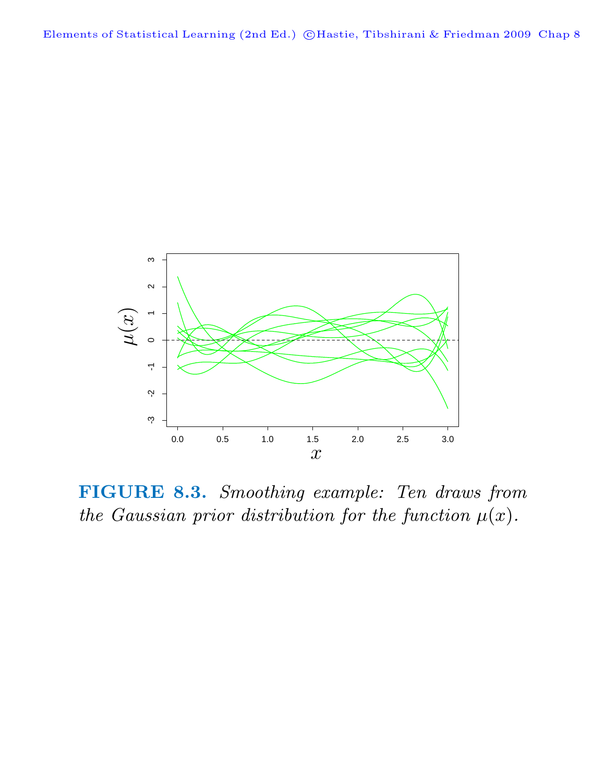Elements of Statistical Learning (2nd Ed.) ©Hastie, Tibshirani & Friedman 2009 Chap 8



**FIGURE 8.3.** Smoothing example: Ten draws from the Gaussian prior distribution for the function  $\mu(x)$ .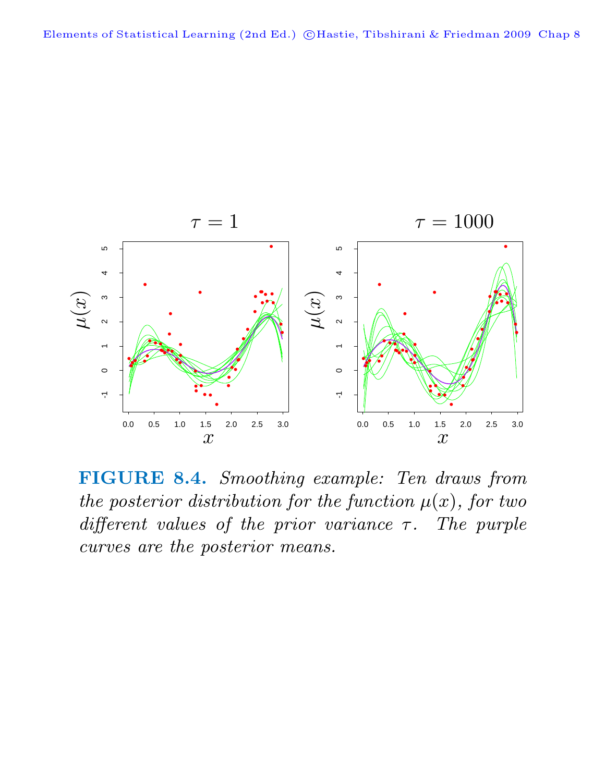

**FIGURE 8.4.** Smoothing example: Ten draws from the posterior distribution for the function  $\mu(x)$ , for two different values of the prior variance  $\tau$ . The purple curves are the posterior means.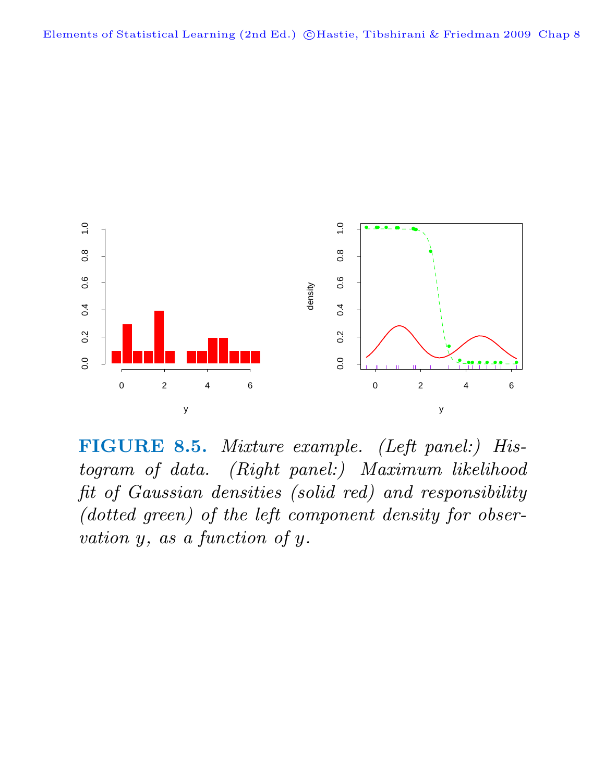

**FIGURE 8.5.** Mixture example. (Left panel:) Histogram of data. (Right panel:) Maximum likelihood fit of Gaussian densities (solid red) and responsibility (dotted green) of the left component density for observation y, as a function of y.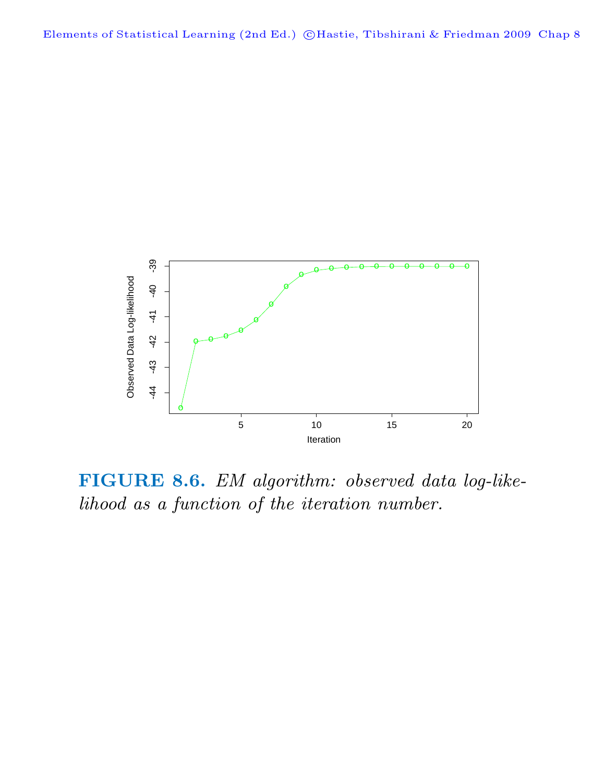

**FIGURE 8.6.** EM algorithm: observed data log-likelihood as a function of the iteration number.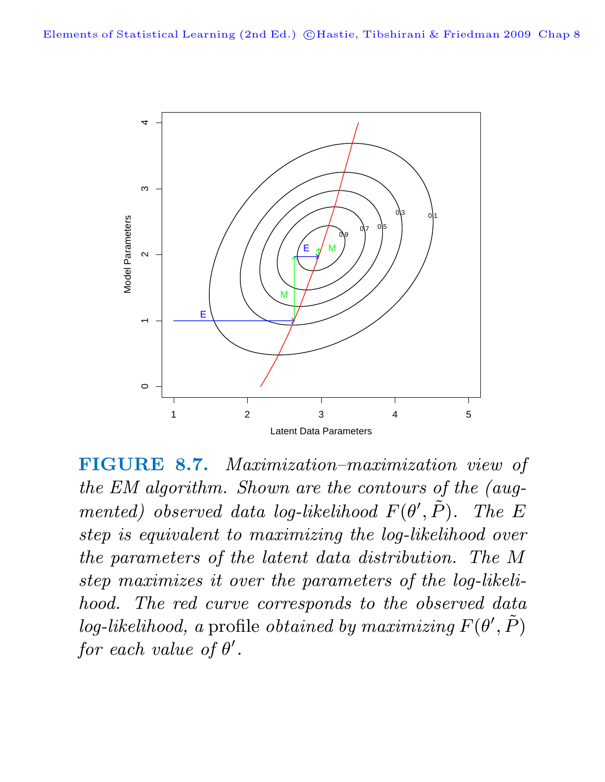

**FIGURE 8.7.** Maximization–maximization view of the EM algorithm. Shown are the contours of the (augmented) observed data log-likelihood  $F(\theta')$  $, \tilde{P}$ ). The E step is equivalent to maximizing the log-likelihood over the parameters of the latent data distribution. The M step maximizes it over the parameters of the log-likelihood. The red curve corresponds to the observed data log-likelihood, a profile obtained by maximizing  $F(\theta')$  $,\tilde{P})$ for each value of  $\theta'$ .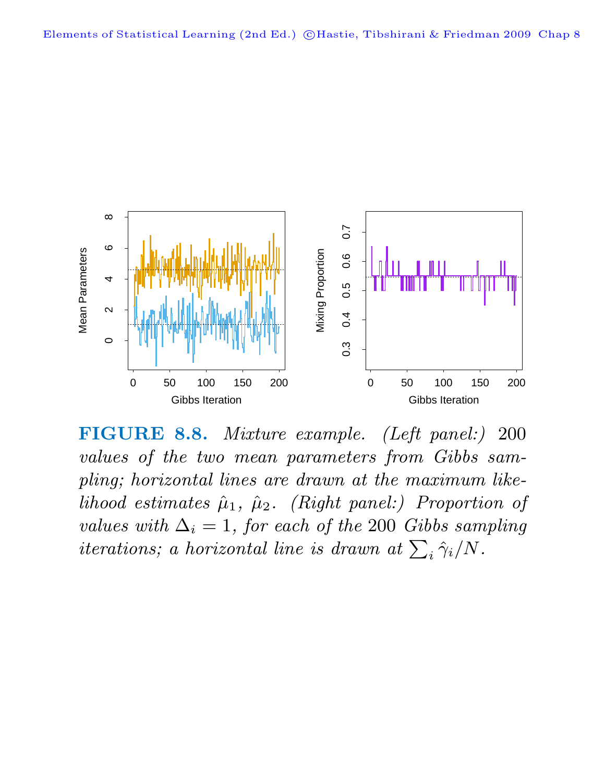

**FIGURE 8.8.** Mixture example. (Left panel:) 200 values of the two mean parameters from Gibbs sampling; horizontal lines are drawn at the maximum likelihood estimates  $\hat{\mu}_1$ ,  $\hat{\mu}_2$ . (Right panel:) Proportion of values with  $\Delta_i = 1$ , for each of the 200 Gibbs sampling iterations; a horizontal line is drawn at  $\sum_i \hat{\gamma}_i/N$ .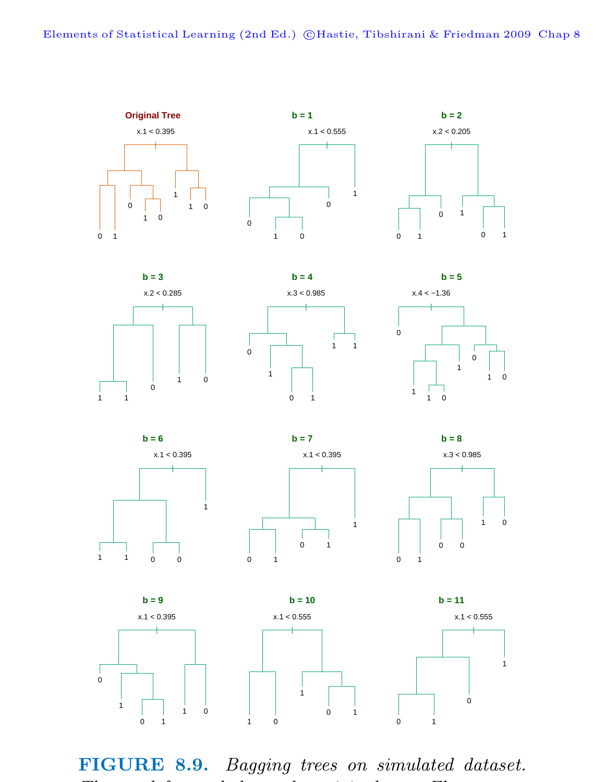

**FIGURE 8.9.** Bagging trees on simulated dataset.  $\frac{1}{1-\epsilon}$  is a constant of the contract of the interval  $\frac{1}{1-\epsilon}$  is a contract of the interval  $\frac{1}{1-\epsilon}$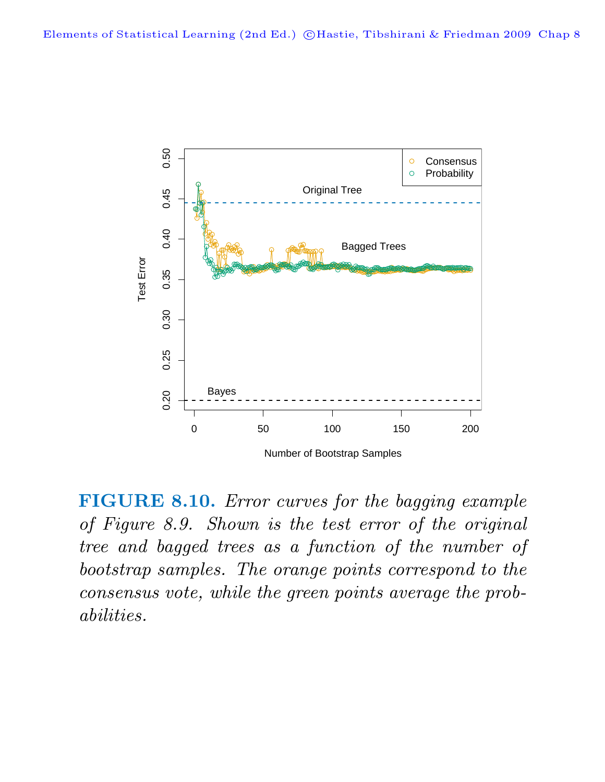

**FIGURE 8.10.** Error curves for the bagging example of Figure 8.9. Shown is the test error of the original tree and bagged trees as a function of the number of bootstrap samples. The orange points correspond to the consensus vote, while the green points average the probabilities.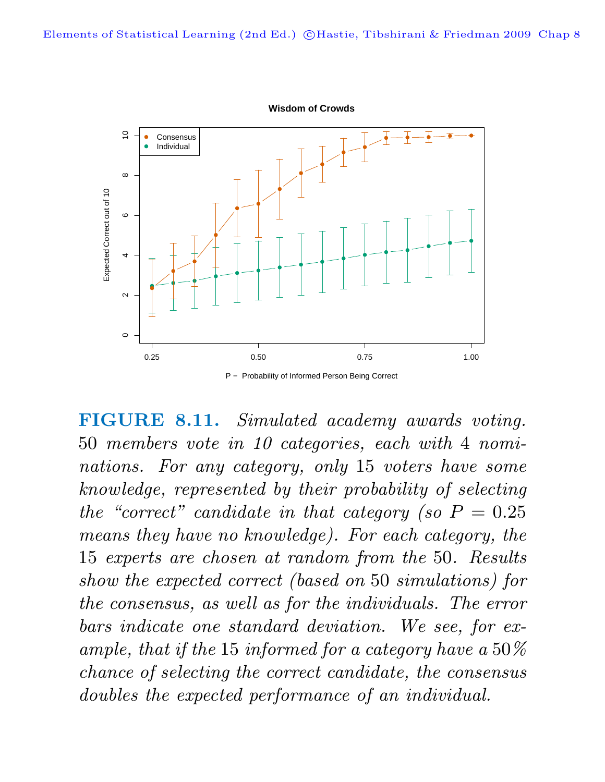

**FIGURE 8.11.** Simulated academy awards voting. 50 members vote in 10 categories, each with 4 nominations. For any category, only 15 voters have some knowledge, represented by their probability of selecting the "correct" candidate in that category (so  $P = 0.25$ ) means they have no knowledge). For each category, the 15 experts are chosen at random from the 50. Results show the expected correct (based on 50 simulations) for the consensus, as well as for the individuals. The error bars indicate one standard deviation. We see, for example, that if the 15 informed for a category have a 50% chance of selecting the correct candidate, the consensus doubles the expected performance of an individual.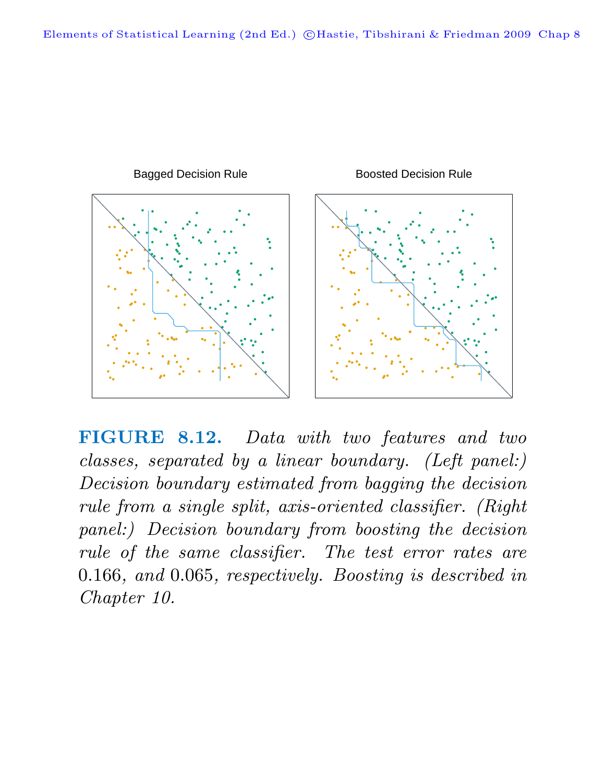

**FIGURE 8.12.** Data with two features and two classes, separated by a linear boundary. (Left panel:) Decision boundary estimated from bagging the decision rule from a single split, axis-oriented classifier. (Right panel:) Decision boundary from boosting the decision rule of the same classifier. The test error rates are 0.166, and 0.065, respectively. Boosting is described in Chapter 10.